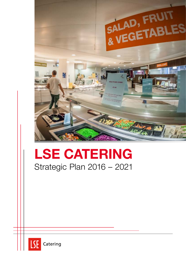

# LSE CATERING Strategic Plan 2016 – 2021

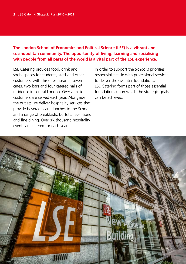#### **The London School of Economics and Political Science (LSE) is a vibrant and cosmopolitan community. The opportunity of living, learning and socialising with people from all parts of the world is a vital part of the LSE experience.**

LSE Catering provides food, drink and social spaces for students, staff and other customers, with three restaurants, seven cafes, two bars and four catered halls of residence in central London. Over a million customers are served each year. Alongside the outlets we deliver hospitality services that provide beverages and lunches to the School and a range of breakfasts, buffets, receptions and fine dining. Over six thousand hospitality events are catered for each year.

In order to support the School's priorities, responsibilities lie with professional services to deliver the essential foundations. LSE Catering forms part of those essential foundations upon which the strategic goals can be achieved.

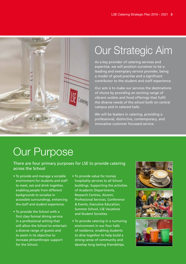

# Our Strategic Aim

As a key provider of catering services and expertise, we will position ourselves to be a leading and exemplary service provider, being a model of good practise and a significant contributor to the student and staff experience.

Our aim is to make our services the destinations of choice by providing an exciting range of vibrant outlets and food offerings that fulfil the diverse needs of the school both on central campus and in catered halls.

We will be leaders in catering, providing a professional, distinctive, contemporary, and innovative customer focussed service.

## Our Purpose

There are four primary purposes for LSE to provide catering across the School

- To provide and manage a sociable environment for students and staff to meet, eat and drink together, enabling people from different backgrounds to socialise in accessible surroundings, enhancing the staff and student experience.
- To provide the School with a first class formal dining service in a professional setting that will allow the School to entertain a diverse range of guests and to assist in its objective to increase philanthropic support for the School.
- To provide value for money hospitality services to all School buildings. Supporting the activities of Academic Departments, Research Centres, Alumni, Professional Services, Conference & Events, Executive Education, Summer School, LSE Vacations and Student Societies.
- To provide catering in a nurturing environment in our four halls of residence, enabling students to dine together to help build a strong sense of community and develop long lasting friendships.





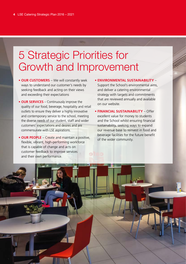## 5 Strategic Priorities for Growth and Improvement

- **OUR CUSTOMERS** We will constantly seek ways to understand our customer's needs by seeking feedback and acting on their views and exceeding their expectations
- **OUR SERVICES** Continuously improve the quality of our food, beverage, hospitality and retail outlets to ensure they deliver a highly innovative and contemporary service to the school, meeting the diverse needs of our student, staff and wider customers' expectations and desires and are commensurate with LSE aspirations.
- **OUR PEOPLE** Create and maintain a positive, flexible, vibrant, high-performing workforce that is capable of change and acts on customer feedback to improve services and their own performance.
- **ENVIRONMENTAL SUSTAINABILITY** Support the School's environmental aims, and deliver a catering environmental strategy with targets and commitments that are reviewed annually and available on our website.
- **FINANCIAL SUSTAINABILITY** Offer excellent value for money to students and the School whilst ensuring financial sustainability, seeking ways to expand our revenue base to reinvest in food and beverage facilities for the future benefit of the wider community.

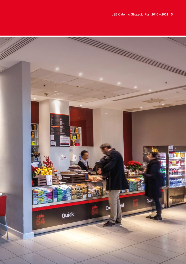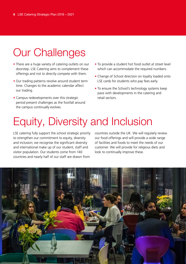### Our Challenges

- There are a huge variety of catering outlets on our doorstep. LSE Catering aims to complement these offerings and not to directly compete with them.
- Our trading patterns revolve around student term time. Changes to the academic calendar affect our trading.
- Campus redevelopments over this strategic period present challenges as the footfall around the campus continually evolves.
- To provide a student hot food outlet at street level which can accommodate the required numbers.
- Change of School direction on loyalty loaded onto LSE cards for students who pay fees early.
- To ensure the School's technology systems keep pace with developments in the catering and retail sectors.

# Equity, Diversity and Inclusion

LSE catering fully support the school strategic priority to strengthen our commitment to equity, diversity and inclusion; we recognise the significant diversity and international make up of our student, staff and visitor population. Our students come from 140 countries and nearly half of our staff are drawn from

countries outside the UK. We will regularly review our food offerings and will provide a wide range of facilities and foods to meet the needs of our customer. We will provide for religious diets and look to continually improve these.

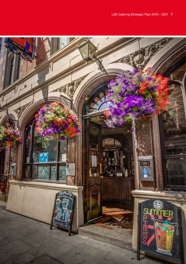